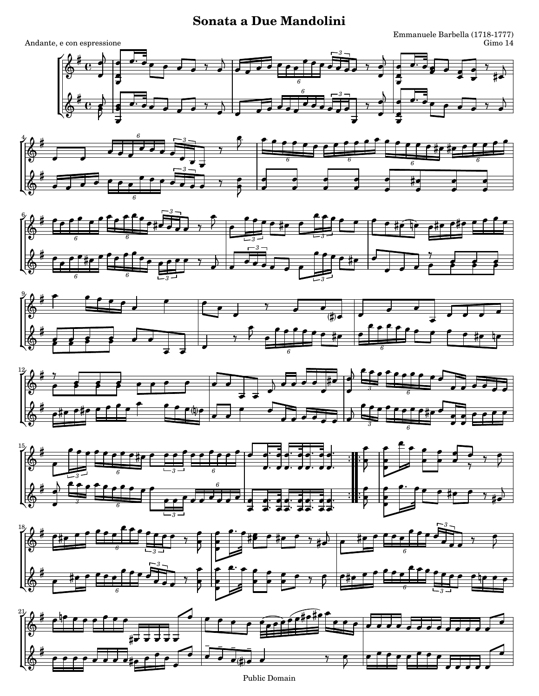## **Sonata a Due Mandolini**















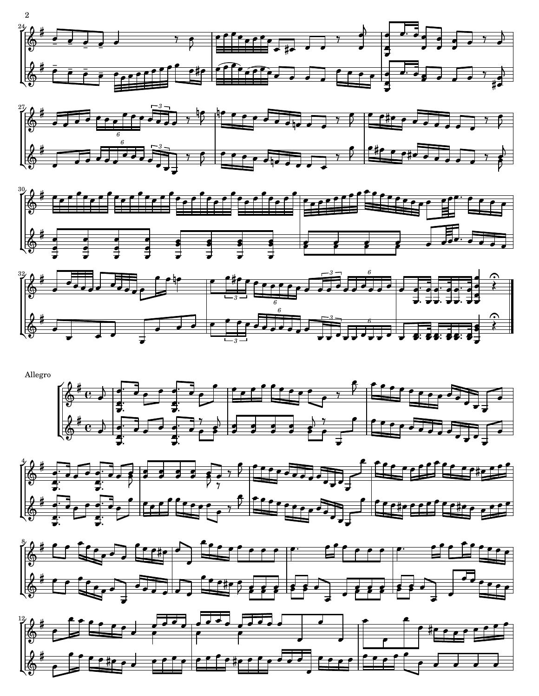















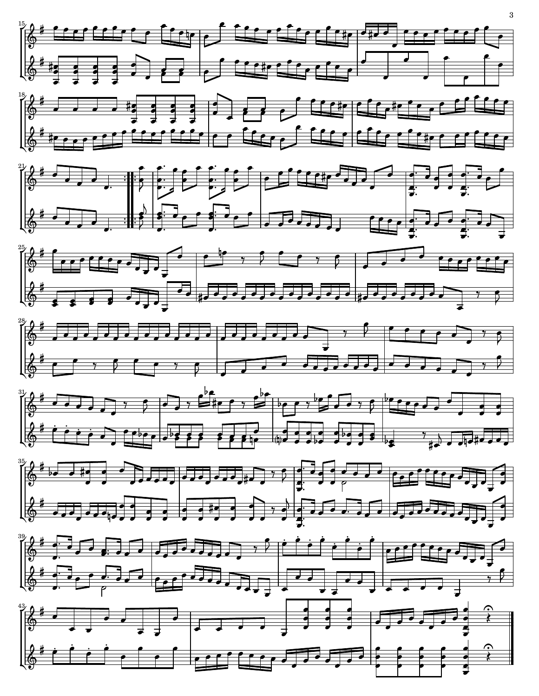













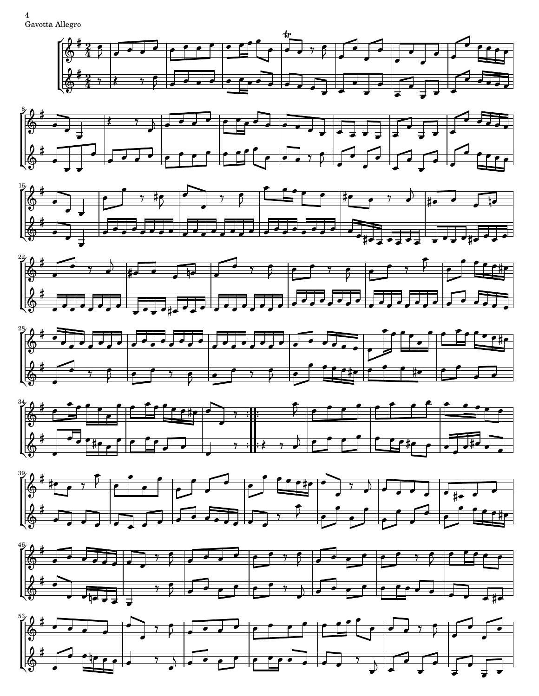4 Gavotta Allegro